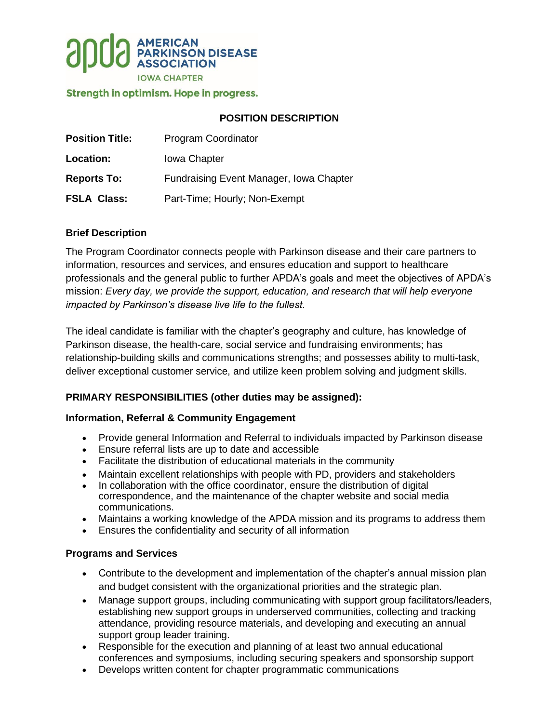

### Strength in optimism. Hope in progress.

## **POSITION DESCRIPTION**

| <b>Position Title:</b> | Program Coordinator                     |
|------------------------|-----------------------------------------|
| Location:              | <b>Iowa Chapter</b>                     |
| <b>Reports To:</b>     | Fundraising Event Manager, Iowa Chapter |
| <b>FSLA Class:</b>     | Part-Time; Hourly; Non-Exempt           |

## **Brief Description**

The Program Coordinator connects people with Parkinson disease and their care partners to information, resources and services, and ensures education and support to healthcare professionals and the general public to further APDA's goals and meet the objectives of APDA's mission: *Every day, we provide the support, education, and research that will help everyone impacted by Parkinson's disease live life to the fullest.*

The ideal candidate is familiar with the chapter's geography and culture, has knowledge of Parkinson disease, the health-care, social service and fundraising environments; has relationship-building skills and communications strengths; and possesses ability to multi-task, deliver exceptional customer service, and utilize keen problem solving and judgment skills.

## **PRIMARY RESPONSIBILITIES (other duties may be assigned):**

#### **Information, Referral & Community Engagement**

- Provide general Information and Referral to individuals impacted by Parkinson disease
- Ensure referral lists are up to date and accessible
- Facilitate the distribution of educational materials in the community
- Maintain excellent relationships with people with PD, providers and stakeholders
- In collaboration with the office coordinator, ensure the distribution of digital correspondence, and the maintenance of the chapter website and social media communications.
- Maintains a working knowledge of the APDA mission and its programs to address them
- Ensures the confidentiality and security of all information

#### **Programs and Services**

- Contribute to the development and implementation of the chapter's annual mission plan and budget consistent with the organizational priorities and the strategic plan.
- Manage support groups, including communicating with support group facilitators/leaders, establishing new support groups in underserved communities, collecting and tracking attendance, providing resource materials, and developing and executing an annual support group leader training.
- Responsible for the execution and planning of at least two annual educational conferences and symposiums, including securing speakers and sponsorship support
- Develops written content for chapter programmatic communications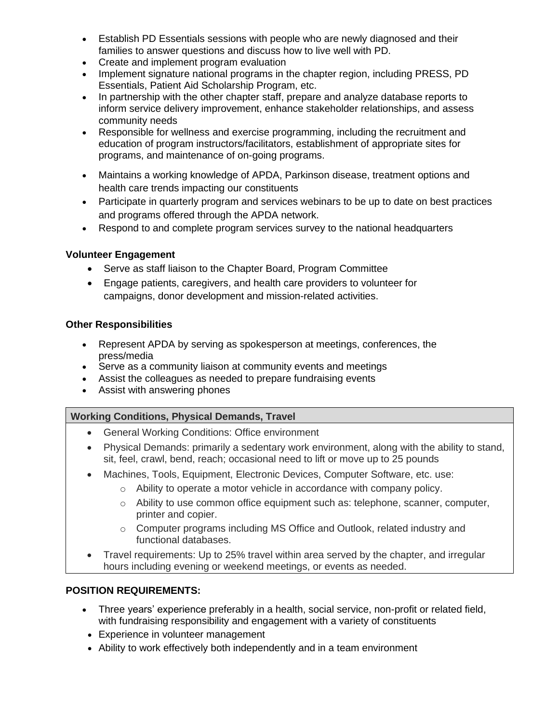- Establish PD Essentials sessions with people who are newly diagnosed and their families to answer questions and discuss how to live well with PD.
- Create and implement program evaluation
- Implement signature national programs in the chapter region, including PRESS, PD Essentials, Patient Aid Scholarship Program, etc.
- In partnership with the other chapter staff, prepare and analyze database reports to inform service delivery improvement, enhance stakeholder relationships, and assess community needs
- Responsible for wellness and exercise programming, including the recruitment and education of program instructors/facilitators, establishment of appropriate sites for programs, and maintenance of on-going programs.
- Maintains a working knowledge of APDA, Parkinson disease, treatment options and health care trends impacting our constituents
- Participate in quarterly program and services webinars to be up to date on best practices and programs offered through the APDA network.
- Respond to and complete program services survey to the national headquarters

## **Volunteer Engagement**

- Serve as staff liaison to the Chapter Board, Program Committee
- Engage patients, caregivers, and health care providers to volunteer for campaigns, donor development and mission-related activities.

## **Other Responsibilities**

- Represent APDA by serving as spokesperson at meetings, conferences, the press/media
- Serve as a community liaison at community events and meetings
- Assist the colleagues as needed to prepare fundraising events
- Assist with answering phones

# **Working Conditions, Physical Demands, Travel**

- General Working Conditions: Office environment
- Physical Demands: primarily a sedentary work environment, along with the ability to stand, sit, feel, crawl, bend, reach; occasional need to lift or move up to 25 pounds
- Machines, Tools, Equipment, Electronic Devices, Computer Software, etc. use:
	- o Ability to operate a motor vehicle in accordance with company policy.
	- o Ability to use common office equipment such as: telephone, scanner, computer, printer and copier.
	- $\circ$  Computer programs including MS Office and Outlook, related industry and functional databases.
- Travel requirements: Up to 25% travel within area served by the chapter, and irregular hours including evening or weekend meetings, or events as needed.

# **POSITION REQUIREMENTS:**

- Three years' experience preferably in a health, social service, non-profit or related field, with fundraising responsibility and engagement with a variety of constituents
- Experience in volunteer management
- Ability to work effectively both independently and in a team environment